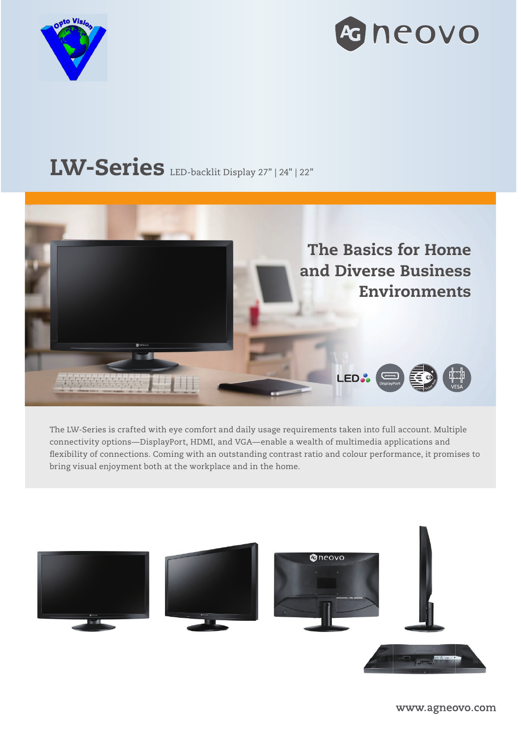



# LW-Series LED-backlit Display 27" | 24" | 22"



The LW-Series is crafted with eye comfort and daily usage requirements taken into full account. Multiple connectivity options—DisplayPort, HDMI, and VGA—enable a wealth of multimedia applications and flexibility of connections. Coming with an outstanding contrast ratio and colour performance, it promises to bring visual enjoyment both at the workplace and in the home.

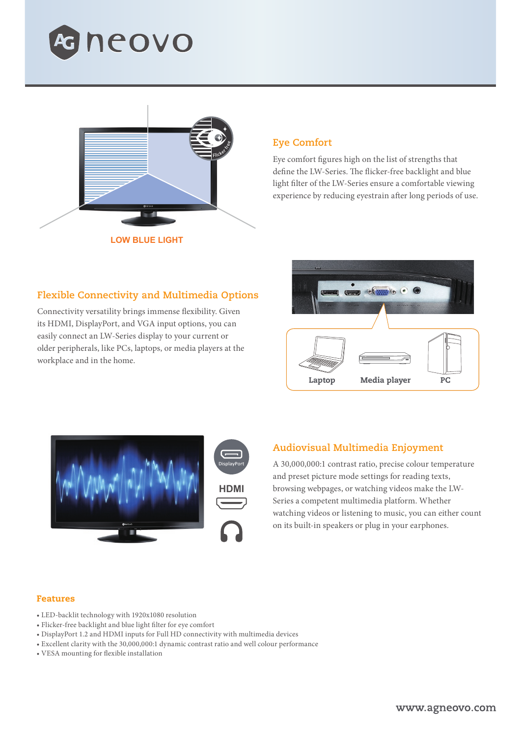



## **Eye Comfort**

Eye comfort figures high on the list of strengths that define the LW-Series. The flicker-free backlight and blue light filter of the LW-Series ensure a comfortable viewing experience by reducing eyestrain after long periods of use.

### **Flexible Connectivity and Multimedia Options**

Connectivity versatility brings immense flexibility. Given its HDMI, DisplayPort, and VGA input options, you can easily connect an LW-Series display to your current or older peripherals, like PCs, laptops, or media players at the workplace and in the home.





#### **Audiovisual Multimedia Enjoyment**

A 30,000,000:1 contrast ratio, precise colour temperature and preset picture mode settings for reading texts, browsing webpages, or watching videos make the LW-Series a competent multimedia platform. Whether watching videos or listening to music, you can either count on its built-in speakers or plug in your earphones.

#### Features

- LED-backlit technology with 1920x1080 resolution
- Flicker-free backlight and blue light filter for eye comfort
- DisplayPort 1.2 and HDMI inputs for Full HD connectivity with multimedia devices
- Excellent clarity with the 30,000,000:1 dynamic contrast ratio and well colour performance
- VESA mounting for flexible installation